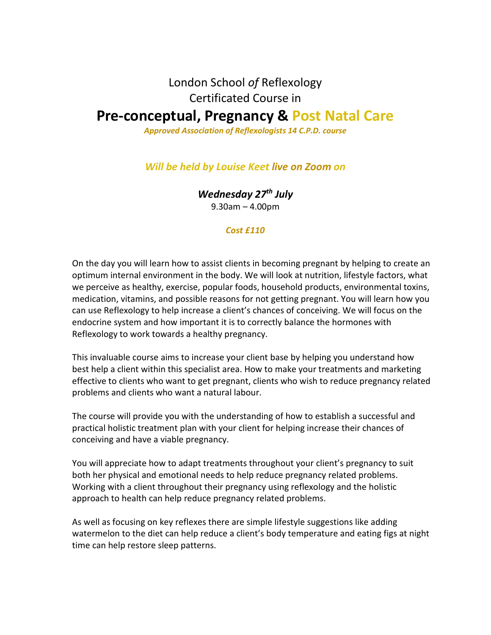## London School *of* Reflexology Certificated Course in

# **Pre-conceptual, Pregnancy & Post Natal Care**

*Approved Association of Reflexologists 14 C.P.D. course*

#### *Will be held by Louise Keet live on Zoom on*

*Wednesday 27th July*

9.30am – 4.00pm

#### *Cost £110*

On the day you will learn how to assist clients in becoming pregnant by helping to create an optimum internal environment in the body. We will look at nutrition, lifestyle factors, what we perceive as healthy, exercise, popular foods, household products, environmental toxins, medication, vitamins, and possible reasons for not getting pregnant. You will learn how you can use Reflexology to help increase a client's chances of conceiving. We will focus on the endocrine system and how important it is to correctly balance the hormones with Reflexology to work towards a healthy pregnancy.

This invaluable course aims to increase your client base by helping you understand how best help a client within this specialist area. How to make your treatments and marketing effective to clients who want to get pregnant, clients who wish to reduce pregnancy related problems and clients who want a natural labour.

The course will provide you with the understanding of how to establish a successful and practical holistic treatment plan with your client for helping increase their chances of conceiving and have a viable pregnancy.

You will appreciate how to adapt treatments throughout your client's pregnancy to suit both her physical and emotional needs to help reduce pregnancy related problems. Working with a client throughout their pregnancy using reflexology and the holistic approach to health can help reduce pregnancy related problems.

As well as focusing on key reflexes there are simple lifestyle suggestions like adding watermelon to the diet can help reduce a client's body temperature and eating figs at night time can help restore sleep patterns.